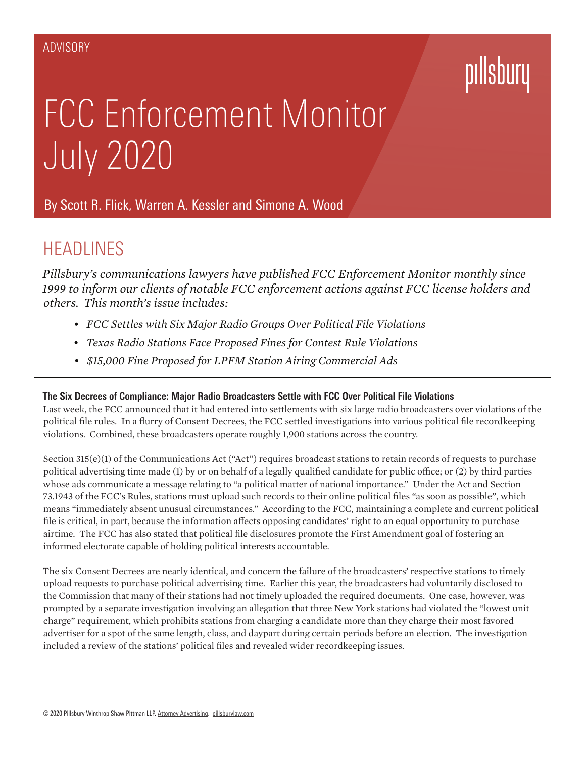# pillsbury

# FCC Enforcement Monitor July 2020

By Scott R. Flick, Warren A. Kessler and Simone A. Wood

## **HEADLINES**

*Pillsbury's communications lawyers have published FCC Enforcement Monitor monthly since 1999 to inform our clients of notable FCC enforcement actions against FCC license holders and others. This month's issue includes:*

- *• FCC Settles with Six Major Radio Groups Over Political File Violations*
- *• Texas Radio Stations Face Proposed Fines for Contest Rule Violations*
- *• \$15,000 Fine Proposed for LPFM Station Airing Commercial Ads*

### **The Six Decrees of Compliance: Major Radio Broadcasters Settle with FCC Over Political File Violations**

Last week, the FCC announced that it had entered into settlements with six large radio broadcasters over violations of the political file rules. In a flurry of Consent Decrees, the FCC settled investigations into various political file recordkeeping violations. Combined, these broadcasters operate roughly 1,900 stations across the country.

Section 315(e)(1) of the Communications Act ("Act") requires broadcast stations to retain records of requests to purchase political advertising time made (1) by or on behalf of a legally qualified candidate for public office; or (2) by third parties whose ads communicate a message relating to "a political matter of national importance." Under the Act and Section 73.1943 of the FCC's Rules, stations must upload such records to their online political files "as soon as possible", which means "immediately absent unusual circumstances." According to the FCC, maintaining a complete and current political file is critical, in part, because the information affects opposing candidates' right to an equal opportunity to purchase airtime. The FCC has also stated that political file disclosures promote the First Amendment goal of fostering an informed electorate capable of holding political interests accountable.

The six Consent Decrees are nearly identical, and concern the failure of the broadcasters' respective stations to timely upload requests to purchase political advertising time. Earlier this year, the broadcasters had voluntarily disclosed to the Commission that many of their stations had not timely uploaded the required documents. One case, however, was prompted by a separate investigation involving an allegation that three New York stations had violated the "lowest unit charge" requirement, which prohibits stations from charging a candidate more than they charge their most favored advertiser for a spot of the same length, class, and daypart during certain periods before an election. The investigation included a review of the stations' political files and revealed wider recordkeeping issues.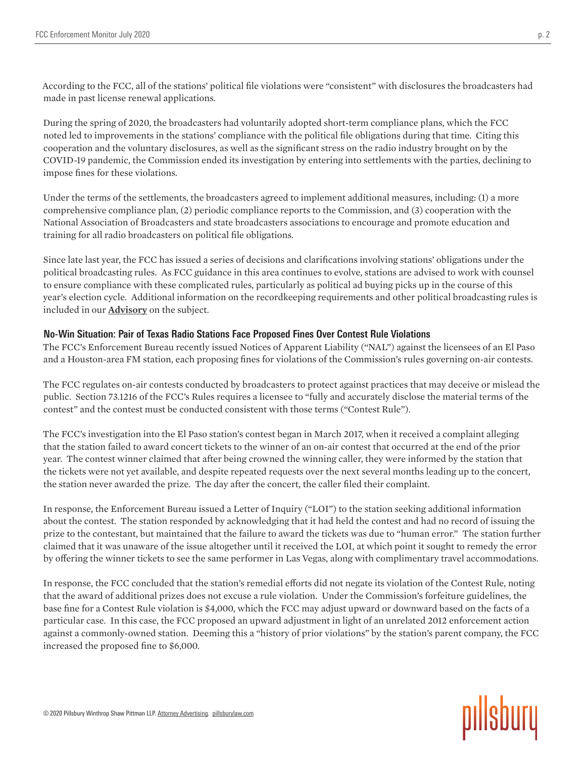According to the FCC, all of the stations' political file violations were "consistent" with disclosures the broadcasters had made in past license renewal applications.

During the spring of 2020, the broadcasters had voluntarily adopted short-term compliance plans, which the FCC noted led to improvements in the stations' compliance with the political file obligations during that time. Citing this cooperation and the voluntary disclosures, as well as the significant stress on the radio industry brought on by the COVID-19 pandemic, the Commission ended its investigation by entering into settlements with the parties, declining to impose fines for these violations.

Under the terms of the settlements, the broadcasters agreed to implement additional measures, including: (1) a more comprehensive compliance plan, (2) periodic compliance reports to the Commission, and (3) cooperation with the National Association of Broadcasters and state broadcasters associations to encourage and promote education and training for all radio broadcasters on political file obligations.

Since late last year, the FCC has issued a series of decisions and clarifications involving stations' obligations under the political broadcasting rules. As FCC guidance in this area continues to evolve, stations are advised to work with counsel to ensure compliance with these complicated rules, particularly as political ad buying picks up in the course of this year's election cycle. Additional information on the recordkeeping requirements and other political broadcasting rules is included in our **Advisory** on the subject.

### **No-Win Situation: Pair of Texas Radio Stations Face Proposed Fines Over Contest Rule Violations**

The FCC's Enforcement Bureau recently issued Notices of Apparent Liability ("NAL") against the licensees of an El Paso and a Houston-area FM station, each proposing fines for violations of the Commission's rules governing on-air contests.

The FCC regulates on-air contests conducted by broadcasters to protect against practices that may deceive or mislead the public. Section 73.1216 of the FCC's Rules requires a licensee to "fully and accurately disclose the material terms of the contest" and the contest must be conducted consistent with those terms ("Contest Rule").

The FCC's investigation into the El Paso station's contest began in March 2017, when it received a complaint alleging that the station failed to award concert tickets to the winner of an on-air contest that occurred at the end of the prior year. The contest winner claimed that after being crowned the winning caller, they were informed by the station that the tickets were not yet available, and despite repeated requests over the next several months leading up to the concert, the station never awarded the prize. The day after the concert, the caller filed their complaint.

In response, the Enforcement Bureau issued a Letter of Inquiry ("LOI") to the station seeking additional information about the contest. The station responded by acknowledging that it had held the contest and had no record of issuing the prize to the contestant, but maintained that the failure to award the tickets was due to "human error." The station further claimed that it was unaware of the issue altogether until it received the LOI, at which point it sought to remedy the error by offering the winner tickets to see the same performer in Las Vegas, along with complimentary travel accommodations.

In response, the FCC concluded that the station's remedial efforts did not negate its violation of the Contest Rule, noting that the award of additional prizes does not excuse a rule violation. Under the Commission's forfeiture guidelines, the base fine for a Contest Rule violation is \$4,000, which the FCC may adjust upward or downward based on the facts of a particular case. In this case, the FCC proposed an upward adjustment in light of an unrelated 2012 enforcement action against a commonly-owned station. Deeming this a "history of prior violations" by the station's parent company, the FCC increased the proposed fine to \$6,000.